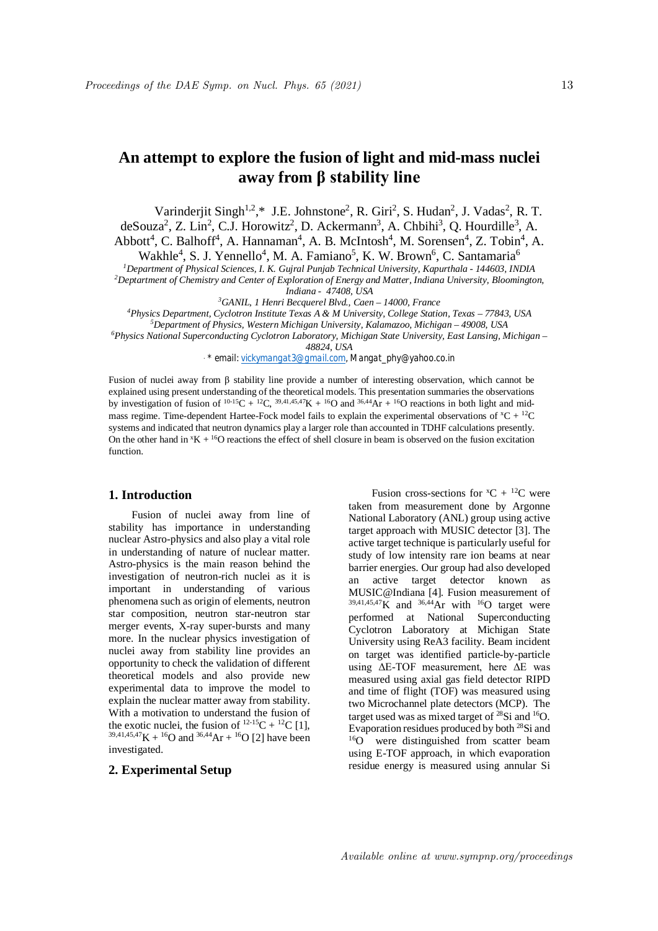# **An attempt to explore the fusion of light and mid-mass nuclei away from β stability line**

Varinderjit Singh<sup>1,2</sup>,\* J.E. Johnstone<sup>2</sup>, R. Giri<sup>2</sup>, S. Hudan<sup>2</sup>, J. Vadas<sup>2</sup>, R. T.  $\text{de} \text{Souza}^2$ , Z. Lin<sup>2</sup>, C.J. Horowitz<sup>2</sup>, D. Ackermann<sup>3</sup>, A. Chbihi<sup>3</sup>, Q. Hourdille<sup>3</sup>, A. Abbott<sup>4</sup>, C. Balhoff<sup>4</sup>, A. Hannaman<sup>4</sup>, A. B. McIntosh<sup>4</sup>, M. Sorensen<sup>4</sup>, Z. Tobin<sup>4</sup>, A.

Wakhle<sup>4</sup>, S. J. Yennello<sup>4</sup>, M. A. Famiano<sup>5</sup>, K. W. Brown<sup>6</sup>, C. Santamaria<sup>6</sup>

*<sup>1</sup>Department of Physical Sciences, I. K. Gujral Punjab Technical University, Kapurthala - 144603, INDIA*

*<sup>2</sup>Deptartment of Chemistry and Center of Exploration of Energy and Matter, Indiana University, Bloomington, Indiana - 47408, USA*

*<sup>3</sup>GANIL, 1 Henri Becquerel Blvd., Caen – 14000, France*

*<sup>4</sup>Physics Department, Cyclotron Institute Texas A & M University, College Station, Texas – 77843, USA*

*<sup>5</sup>Department of Physics, Western Michigan University, Kalamazoo, Michigan – 49008, USA <sup>6</sup>Physics National Superconducting Cyclotron Laboratory, Michigan State University, East Lansing, Michigan –*

*48824, USA*

*. \* email: vickymangat3@gmail.com, Mangat\_phy@yahoo.co.in*

Fusion of nuclei away from β stability line provide a number of interesting observation, which cannot be explained using present understanding of the theoretical models. This presentation summaries the observations by investigation of fusion of  ${}^{10-15}C + {}^{12}C$ ,  ${}^{39,41,45,47}K + {}^{16}O$  and  ${}^{36,44}\text{Ar} + {}^{16}O$  reactions in both light and midmass regime. Time-dependent Hartee-Fock model fails to explain the experimental observations of  ${}^xC + {}^{\frac{12}{}}C$ systems and indicated that neutron dynamics play a larger role than accounted in TDHF calculations presently. On the other hand in  ${}^{\text{x}}\text{K} + {}^{\text{16}}\text{O}$  reactions the effect of shell closure in beam is observed on the fusion excitation function.

### **1. Introduction**

Fusion of nuclei away from line of stability has importance in understanding nuclear Astro-physics and also play a vital role in understanding of nature of nuclear matter. Astro-physics is the main reason behind the investigation of neutron-rich nuclei as it is important in understanding of various phenomena such as origin of elements, neutron star composition, neutron star-neutron star merger events, X-ray super-bursts and many more. In the nuclear physics investigation of nuclei away from stability line provides an opportunity to check the validation of different theoretical models and also provide new experimental data to improve the model to explain the nuclear matter away from stability. With a motivation to understand the fusion of the exotic nuclei, the fusion of  $^{12-15}C + ^{12}C$  [1],  $39,41,45,47$ K +  $16$ O and  $36,44$ Ar +  $16$ O [2] have been investigated.

## **2. Experimental Setup**

Fusion cross-sections for  ${}^xC + {}^{12}C$  were taken from measurement done by Argonne National Laboratory (ANL) group using active target approach with MUSIC detector [3]. The active target technique is particularly useful for study of low intensity rare ion beams at near barrier energies. Our group had also developed an active target detector known as MUSIC@Indiana [4]. Fusion measurement of  $39,41,45,47$ K and  $36,44$ Ar with  $16$ O target were performed at National Superconducting Cyclotron Laboratory at Michigan State University using ReA3 facility. Beam incident on target was identified particle-by-particle using ΔE-TOF measurement, here ΔE was measured using axial gas field detector RIPD and time of flight (TOF) was measured using two Microchannel plate detectors (MCP). The target used was as mixed target of  $^{28}$ Si and  $^{16}$ O. Evaporation residues produced by both <sup>28</sup>Si and <sup>16</sup>O were distinguished from scatter beam using E-TOF approach, in which evaporation residue energy is measured using annular Si